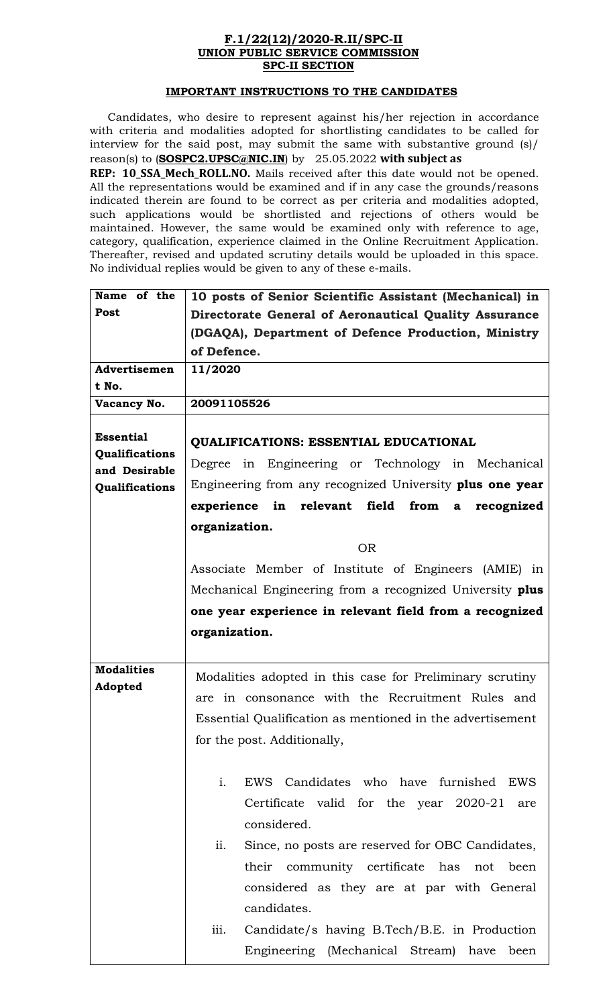## **F.1/22(12)/2020-R.II/SPC-II UNION PUBLIC SERVICE COMMISSION SPC-II SECTION**

## **IMPORTANT INSTRUCTIONS TO THE CANDIDATES**

Candidates, who desire to represent against his/her rejection in accordance with criteria and modalities adopted for shortlisting candidates to be called for interview for the said post, may submit the same with substantive ground (s)/ reason(s) to (**SOSPC2.UPSC@NIC.IN**) by 25.05.2022 with subject as

**REP: 10\_SSA\_Mech\_ROLL.NO.** Mails received after this date would not be opened. All the representations would be examined and if in any case the grounds/reasons indicated therein are found to be correct as per criteria and modalities adopted, such applications would be shortlisted and rejections of others would be maintained. However, the same would be examined only with reference to age, category, qualification, experience claimed in the Online Recruitment Application. Thereafter, revised and updated scrutiny details would be uploaded in this space. No individual replies would be given to any of these e-mails.

| Name of the                     | 10 posts of Senior Scientific Assistant (Mechanical) in               |  |  |  |  |  |
|---------------------------------|-----------------------------------------------------------------------|--|--|--|--|--|
| Post                            | Directorate General of Aeronautical Quality Assurance                 |  |  |  |  |  |
|                                 | (DGAQA), Department of Defence Production, Ministry                   |  |  |  |  |  |
|                                 | of Defence.                                                           |  |  |  |  |  |
| Advertisemen                    | 11/2020                                                               |  |  |  |  |  |
| t No.                           |                                                                       |  |  |  |  |  |
| Vacancy No.                     | 20091105526                                                           |  |  |  |  |  |
| <b>Essential</b>                | <b>QUALIFICATIONS: ESSENTIAL EDUCATIONAL</b>                          |  |  |  |  |  |
| Qualifications<br>and Desirable | Degree in Engineering or Technology in Mechanical                     |  |  |  |  |  |
| Qualifications                  | Engineering from any recognized University plus one year              |  |  |  |  |  |
|                                 | in relevant field<br>from<br>experience<br>recognized<br>$\mathbf{a}$ |  |  |  |  |  |
|                                 | organization.                                                         |  |  |  |  |  |
|                                 |                                                                       |  |  |  |  |  |
|                                 | <b>OR</b>                                                             |  |  |  |  |  |
|                                 | Associate Member of Institute of Engineers (AMIE) in                  |  |  |  |  |  |
|                                 | Mechanical Engineering from a recognized University plus              |  |  |  |  |  |
|                                 | one year experience in relevant field from a recognized               |  |  |  |  |  |
|                                 | organization.                                                         |  |  |  |  |  |
|                                 |                                                                       |  |  |  |  |  |
| <b>Modalities</b>               | Modalities adopted in this case for Preliminary scrutiny              |  |  |  |  |  |
| Adopted                         | are in consonance with the Recruitment Rules and                      |  |  |  |  |  |
|                                 |                                                                       |  |  |  |  |  |
|                                 | Essential Qualification as mentioned in the advertisement             |  |  |  |  |  |
|                                 | for the post. Additionally,                                           |  |  |  |  |  |
|                                 |                                                                       |  |  |  |  |  |
|                                 | $\mathbf{i}$ .<br>EWS Candidates who have furnished EWS               |  |  |  |  |  |
|                                 | Certificate valid for the year 2020-21<br>are                         |  |  |  |  |  |
|                                 | considered.                                                           |  |  |  |  |  |
|                                 | ii.<br>Since, no posts are reserved for OBC Candidates,               |  |  |  |  |  |
|                                 |                                                                       |  |  |  |  |  |
|                                 |                                                                       |  |  |  |  |  |
|                                 | their community certificate has not been                              |  |  |  |  |  |
|                                 | considered as they are at par with General                            |  |  |  |  |  |
|                                 | candidates.                                                           |  |  |  |  |  |
|                                 | iii.<br>Candidate/s having B.Tech/B.E. in Production                  |  |  |  |  |  |